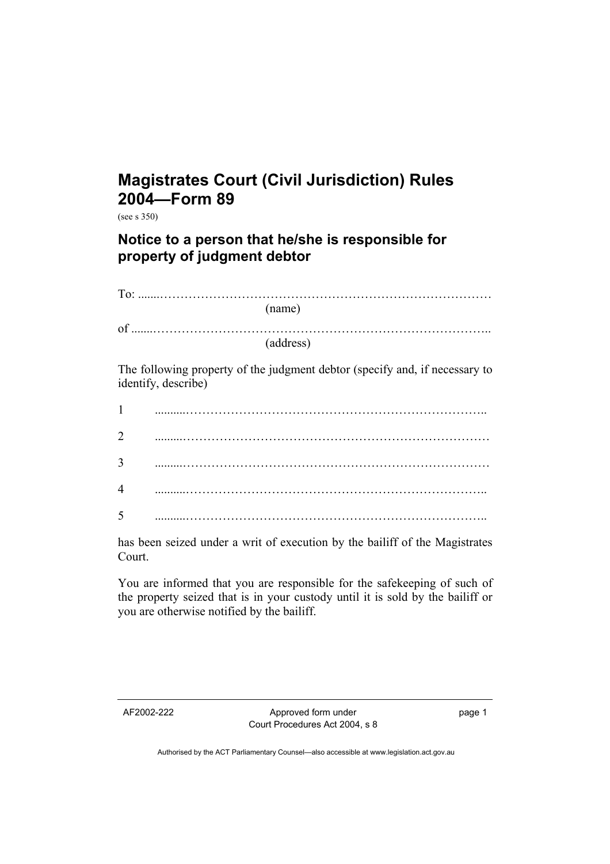## **Magistrates Court (Civil Jurisdiction) Rules 2004—Form 89**

(see s 350)

## **Notice to a person that he/she is responsible for property of judgment debtor**

|                                                                                                    | (name)    |
|----------------------------------------------------------------------------------------------------|-----------|
|                                                                                                    | (address) |
| The following property of the judgment debtor (specify and, if necessary to<br>identify, describe) |           |
| $\mathbf{1}$                                                                                       |           |
| $\overline{2}$                                                                                     |           |
| 3                                                                                                  |           |
| 4                                                                                                  |           |
| 5                                                                                                  |           |

has been seized under a writ of execution by the bailiff of the Magistrates Court.

You are informed that you are responsible for the safekeeping of such of the property seized that is in your custody until it is sold by the bailiff or you are otherwise notified by the bailiff.

AF2002-222 Approved form under Court Procedures Act 2004, s 8 page 1

Authorised by the ACT Parliamentary Counsel—also accessible at www.legislation.act.gov.au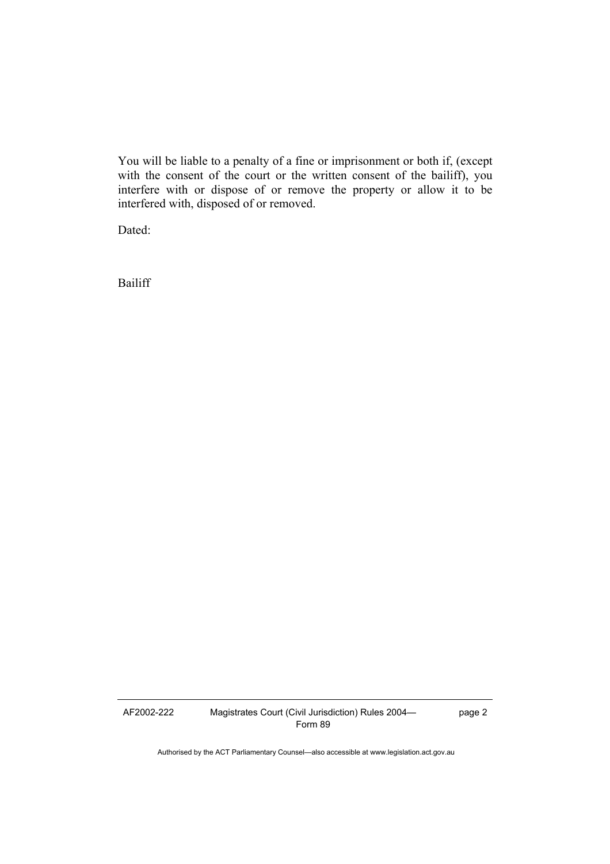You will be liable to a penalty of a fine or imprisonment or both if, (except with the consent of the court or the written consent of the bailiff), you interfere with or dispose of or remove the property or allow it to be interfered with, disposed of or removed.

Dated:

Bailiff

AF2002-222 Magistrates Court (Civil Jurisdiction) Rules 2004— Form 89

page 2

Authorised by the ACT Parliamentary Counsel—also accessible at www.legislation.act.gov.au